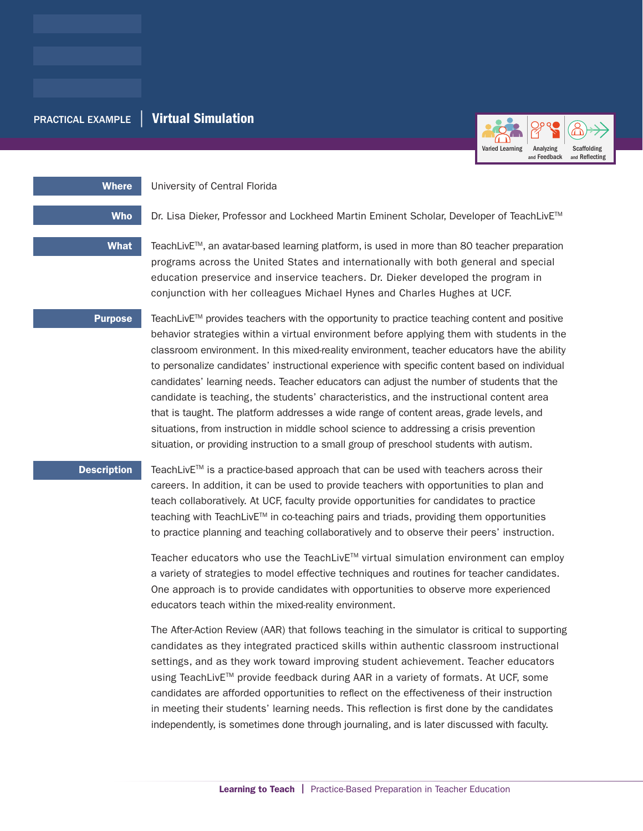# PRACTICAL EXAMPLE | Virtual Simulation



Where **University of Central Florida** 

Who Dr. Lisa Dieker, Professor and Lockheed Martin Eminent Scholar, Developer of TeachLivE<sup>™</sup>

What FeachLivE™, an avatar-based learning platform, is used in more than 80 teacher preparation programs across the United States and internationally with both general and special education preservice and inservice teachers. Dr. Dieker developed the program in conjunction with her colleagues Michael Hynes and Charles Hughes at UCF.

**Purpose** TeachLivE<sup>TM</sup> provides teachers with the opportunity to practice teaching content and positive behavior strategies within a virtual environment before applying them with students in the classroom environment. In this mixed-reality environment, teacher educators have the ability to personalize candidates' instructional experience with specific content based on individual candidates' learning needs. Teacher educators can adjust the number of students that the candidate is teaching, the students' characteristics, and the instructional content area that is taught. The platform addresses a wide range of content areas, grade levels, and situations, from instruction in middle school science to addressing a crisis prevention situation, or providing instruction to a small group of preschool students with autism.

**Description** TeachLivE<sup>TM</sup> is a practice-based approach that can be used with teachers across their careers. In addition, it can be used to provide teachers with opportunities to plan and teach collaboratively. At UCF, faculty provide opportunities for candidates to practice teaching with TeachLiv $E^{TM}$  in co-teaching pairs and triads, providing them opportunities to practice planning and teaching collaboratively and to observe their peers' instruction.

> Teacher educators who use the TeachLiv $E^{TM}$  virtual simulation environment can employ a variety of strategies to model effective techniques and routines for teacher candidates. One approach is to provide candidates with opportunities to observe more experienced educators teach within the mixed-reality environment.

> The After-Action Review (AAR) that follows teaching in the simulator is critical to supporting candidates as they integrated practiced skills within authentic classroom instructional settings, and as they work toward improving student achievement. Teacher educators using TeachLivETM provide feedback during AAR in a variety of formats. At UCF, some candidates are afforded opportunities to reflect on the effectiveness of their instruction in meeting their students' learning needs. This reflection is first done by the candidates independently, is sometimes done through journaling, and is later discussed with faculty.